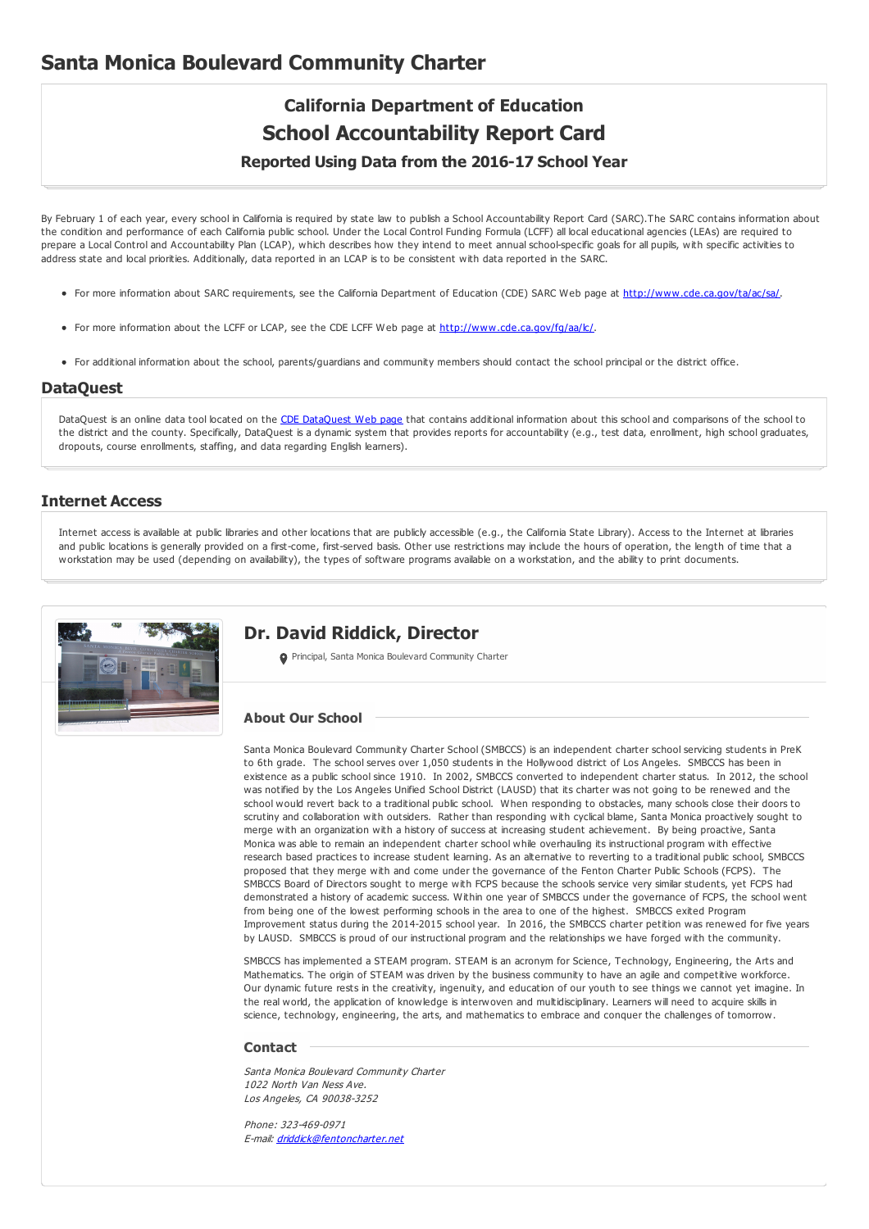# **California Department of Education School Accountability Report Card Reported Using Data from the 2016-17 School Year**

By February 1 of each year, every school in California is required by state law to publish a School Accountability Report Card (SARC).The SARC contains information about the condition and performance of each California public school. Under the Local Control Funding Formula (LCFF) all local educational agencies (LEAs) are required to prepare a Local Control and Accountability Plan (LCAP), which describes how they intend to meet annual school-specific goals for all pupils, with specific activities to address state and local priorities. Additionally, data reported in an LCAP is to be consistent with data reported in the SARC.

- For more information about SARC requirements, see the California Department of Education (CDE) SARC Web page at <http://www.cde.ca.gov/ta/ac/sa/>.
- For more information about the LCFF or LCAP, see the CDE LCFF Web page at <http://www.cde.ca.gov/fg/aa/lc/>.
- For additional information about the school, parents/guardians and community members should contact the school principal or the district office.

#### **DataQuest**

[DataQuest](http://dq.cde.ca.gov/dataquest/) is an online data tool located on the CDE DataQuest Web page that contains additional information about this school and comparisons of the school to the district and the county. Specifically, DataQuest is a dynamic system that provides reports for accountability (e.g., test data, enrollment, high school graduates, dropouts, course enrollments, staffing, and data regarding English learners).

#### **Internet Access**

Internet access is available at public libraries and other locations that are publicly accessible (e.g., the California State Library). Access to the Internet at libraries and public locations is generally provided on a first-come, first-served basis. Other use restrictions may include the hours of operation, the length of time that a workstation may be used (depending on availability), the types of software programs available on a workstation, and the ability to print documents.



### **Dr. David Riddick, Director**

**O** Principal, Santa Monica Boulevard Community Charter

#### **About Our School**

Santa Monica Boulevard Community Charter School (SMBCCS) is an independent charter school servicing students in PreK to 6th grade. The school serves over 1,050 students in the Hollywood district of Los Angeles. SMBCCS has been in existence as a public school since 1910. In 2002, SMBCCS converted to independent charter status. In 2012, the school was notified by the Los Angeles Unified School District (LAUSD) that its charter was not going to be renewed and the school would revert back to a traditional public school. When responding to obstacles, many schools close their doors to scrutiny and collaboration with outsiders. Rather than responding with cyclical blame, Santa Monica proactively sought to merge with an organization with a history of success at increasing student achievement. By being proactive, Santa Monica was able to remain an independent charter school while overhauling its instructional program with effective research based practices to increase student learning. As an alternative to reverting to a traditional public school, SMBCCS proposed that they merge with and come under the governance of the Fenton Charter Public Schools (FCPS). The SMBCCS Board of Directors sought to merge with FCPS because the schools service very similar students, yet FCPS had demonstrated a history of academic success. Within one year of SMBCCS under the governance of FCPS, the school went from being one of the lowest performing schools in the area to one of the highest. SMBCCS exited Program Improvement status during the 2014-2015 school year. In 2016, the SMBCCS charter petition was renewed for five years by LAUSD. SMBCCS is proud of our instructional program and the relationships we have forged with the community.

SMBCCS has implemented a STEAM program. STEAM is an acronym for Science, Technology, Engineering, the Arts and Mathematics. The origin of STEAM was driven by the business community to have an agile and competitive workforce. Our dynamic future rests in the creativity, ingenuity, and education of our youth to see things we cannot yet imagine. In the real world, the application of knowledge is interwoven and multidisciplinary. Learners will need to acquire skills in science, technology, engineering, the arts, and mathematics to embrace and conquer the challenges of tomorrow.

#### **Contact**

Santa Monica Boulevard Community Charter 1022 North Van Ness Ave. Los Angeles, CA 90038-3252

Phone: 323-469-0971 E-mail: [driddick@fentoncharter.net](mailto:driddick@fentoncharter.net)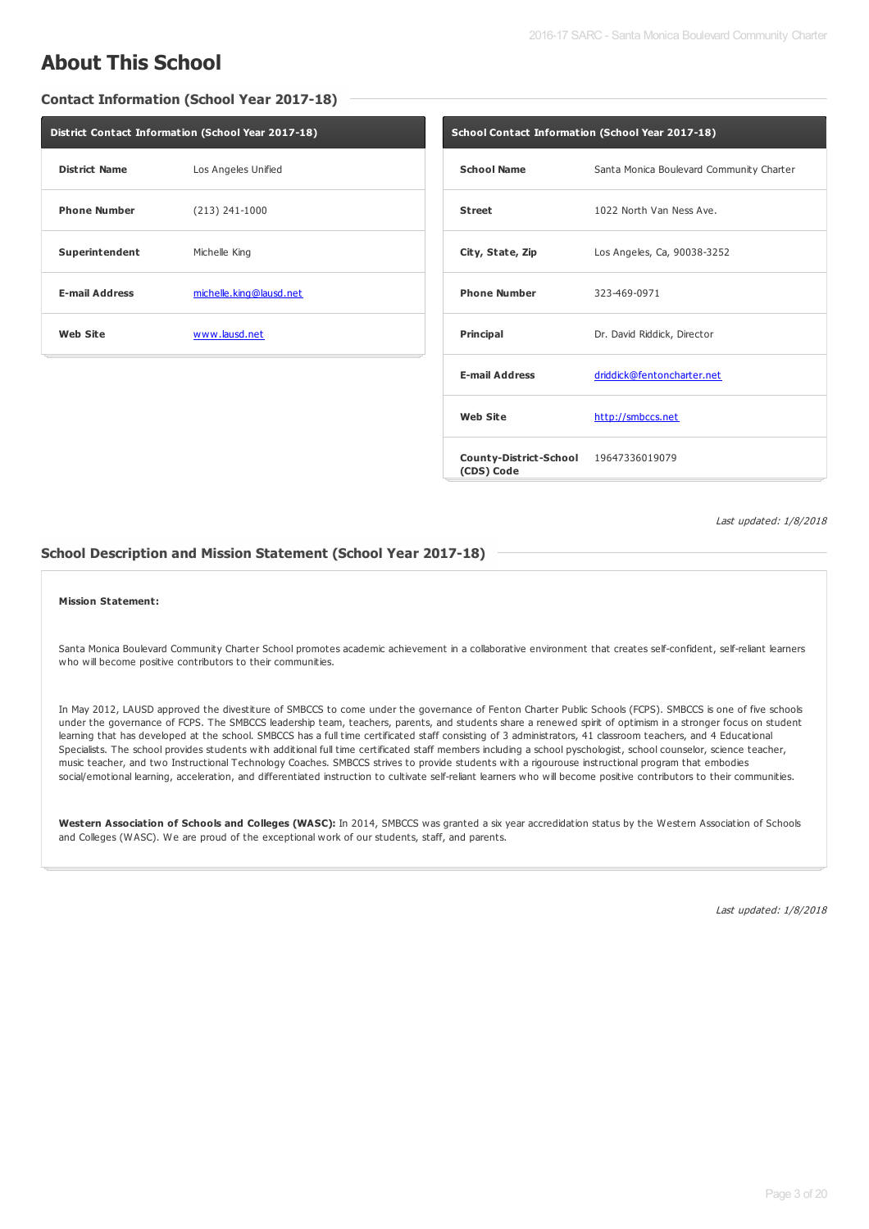# **About This School**

**Contact Information (School Year 2017-18)**

| District Contact Information (School Year 2017-18) |                         |  |  |  |
|----------------------------------------------------|-------------------------|--|--|--|
| <b>District Name</b>                               | Los Angeles Unified     |  |  |  |
| <b>Phone Number</b>                                | $(213) 241 - 1000$      |  |  |  |
| Superintendent                                     | Michelle King           |  |  |  |
| <b>E-mail Address</b>                              | michelle.king@lausd.net |  |  |  |
| <b>Web Site</b>                                    | www.lausd.net           |  |  |  |

| <b>School Contact Information (School Year 2017-18)</b> |                                          |  |  |  |  |
|---------------------------------------------------------|------------------------------------------|--|--|--|--|
| <b>School Name</b>                                      | Santa Monica Boulevard Community Charter |  |  |  |  |
| <b>Street</b>                                           | 1022 North Van Ness Ave.                 |  |  |  |  |
| City, State, Zip                                        | Los Angeles, Ca, 90038-3252              |  |  |  |  |
| <b>Phone Number</b>                                     | 323-469-0971                             |  |  |  |  |
| <b>Principal</b>                                        | Dr. David Riddick, Director              |  |  |  |  |
| <b>E-mail Address</b>                                   | driddick@fentoncharter.net               |  |  |  |  |
| <b>Web Site</b>                                         | http://smbccs.net                        |  |  |  |  |
| County-District-School 19647336019079<br>(CDS) Code     |                                          |  |  |  |  |

Last updated: 1/8/2018

#### **School Description and Mission Statement (School Year 2017-18)**

#### **Mission Statement:**

Santa Monica Boulevard Community Charter School promotes academic achievement in a collaborative environment that creates self-confident, self-reliant learners who will become positive contributors to their communities.

In May 2012, LAUSD approved the divestiture of SMBCCS to come under the governance of Fenton Charter Public Schools (FCPS). SMBCCS is one of five schools under the governance of FCPS. The SMBCCS leadership team, teachers, parents, and students share a renewed spirit of optimism in a stronger focus on student learning that has developed at the school. SMBCCS has a full time certificated staff consisting of 3 administrators, 41 classroom teachers, and 4 Educational Specialists. The school provides students with additional full time certificated staff members including a school pyschologist, school counselor, science teacher, music teacher, and two Instructional Technology Coaches. SMBCCS strives to provide students with a rigourouse instructional program that embodies social/emotional learning, acceleration, and differentiated instruction to cultivate self-reliant learners who will become positive contributors to their communities.

**Western Association of Schools and Colleges (WASC):** In 2014, SMBCCS was granted a six year accredidation status by the Western Association of Schools and Colleges (WASC). We are proud of the exceptional work of our students, staff, and parents.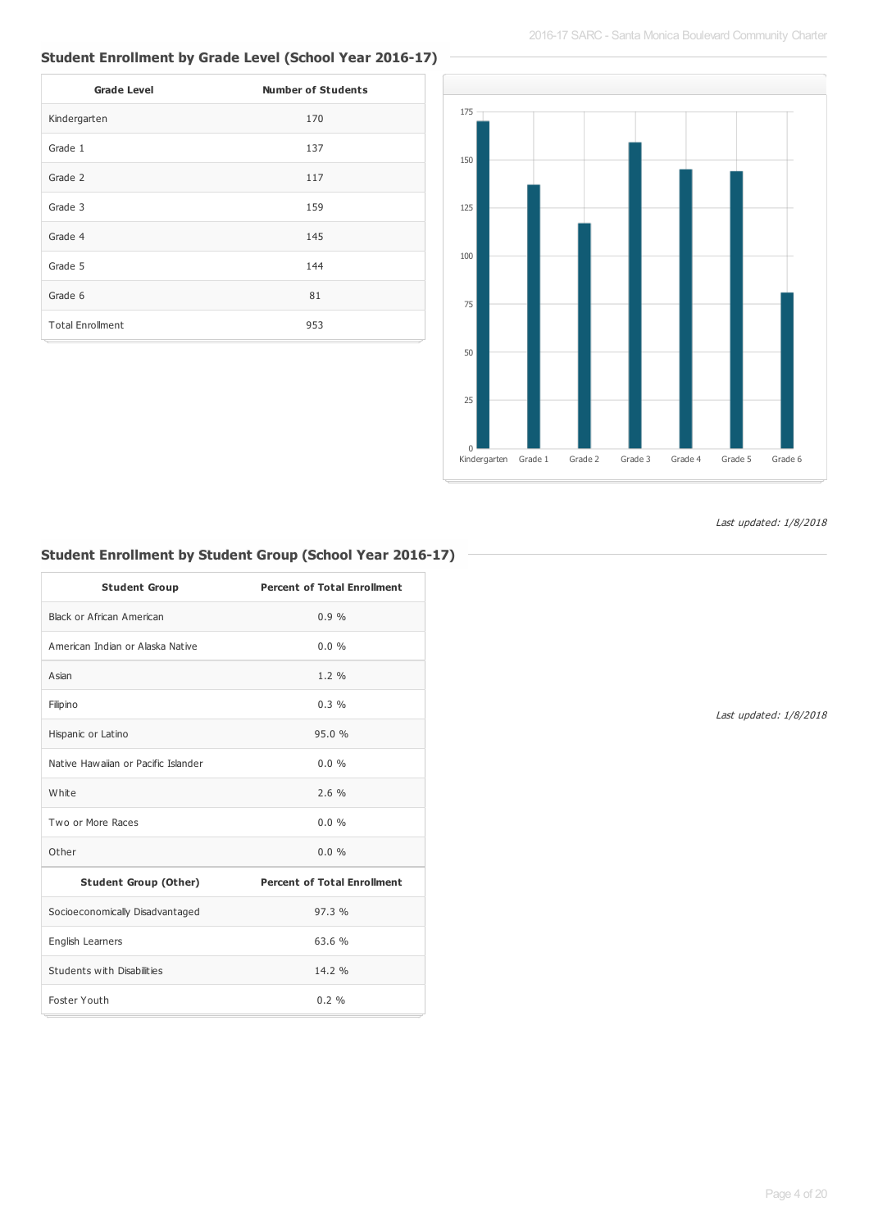## **Student Enrollment by Grade Level (School Year 2016-17)**

| <b>Grade Level</b>      | <b>Number of Students</b> |
|-------------------------|---------------------------|
| Kindergarten            | 170                       |
| Grade 1                 | 137                       |
| Grade 2                 | 117                       |
| Grade 3                 | 159                       |
| Grade 4                 | 145                       |
| Grade 5                 | 144                       |
| Grade 6                 | 81                        |
| <b>Total Enrollment</b> | 953                       |



Last updated: 1/8/2018

## **Student Enrollment by Student Group (School Year 2016-17)**

| <b>Student Group</b>                | <b>Percent of Total Enrollment</b> |
|-------------------------------------|------------------------------------|
| Black or African American           | 0.9%                               |
| American Indian or Alaska Native    | 0.0%                               |
| Asian                               | $1.2 \%$                           |
| Filipino                            | 0.3%                               |
| Hispanic or Latino                  | 95.0%                              |
| Native Hawaiian or Pacific Islander | $0.0\%$                            |
| White                               | 2.6%                               |
| Two or More Races                   | $0.0\%$                            |
| Other                               | $0.0\%$                            |
| <b>Student Group (Other)</b>        | <b>Percent of Total Enrollment</b> |
| Socioeconomically Disadvantaged     | 97.3%                              |
| English Learners                    | 63.6 %                             |
| Students with Disabilities          | 14.2 %                             |
| Foster Youth                        | $0.2 \%$                           |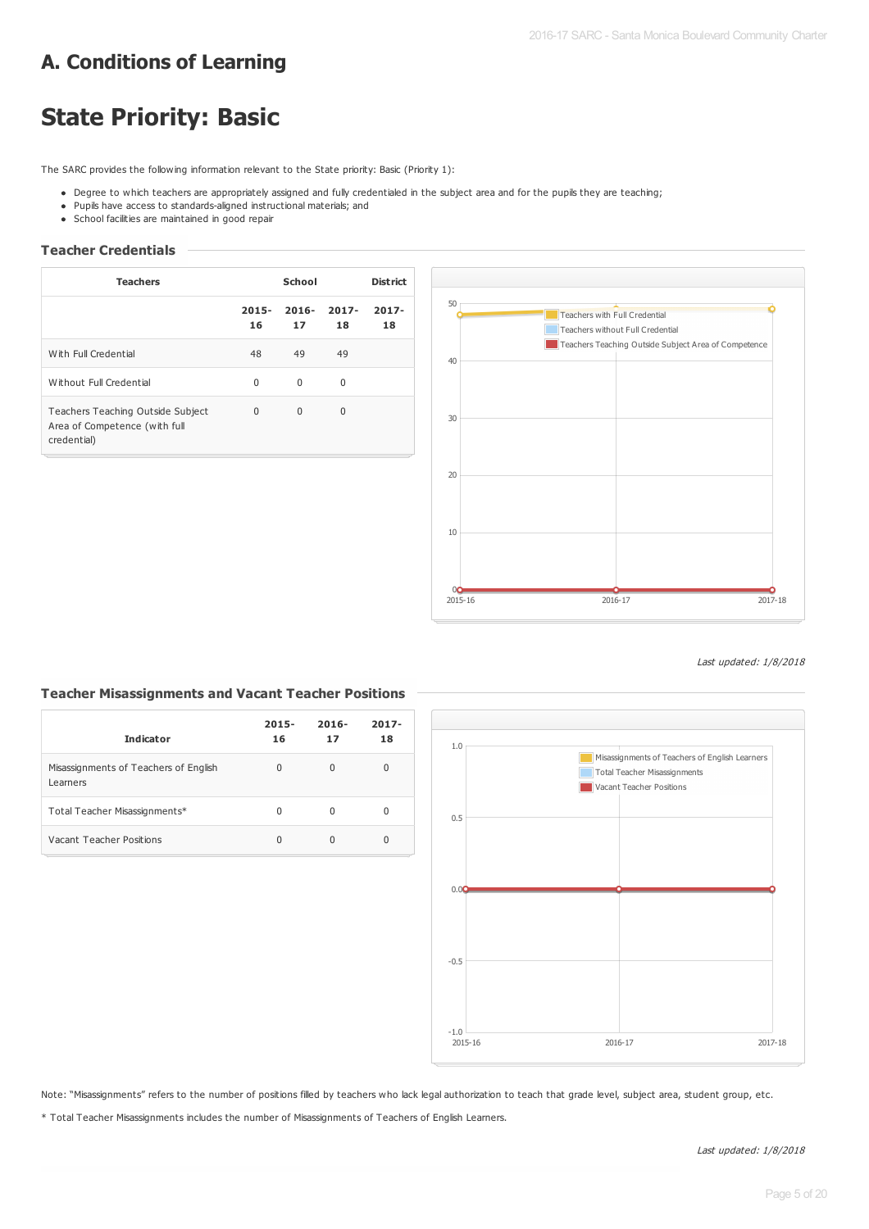# **A. Conditions of Learning**

# **State Priority: Basic**

The SARC provides the following information relevant to the State priority: Basic (Priority 1):

- . Degree to which teachers are appropriately assigned and fully credentialed in the subject area and for the pupils they are teaching;
- Pupils have access to standards-aligned instructional materials; and
- School facilities are maintained in good repair

#### **Teacher Credentials**

| <b>Teachers</b>                                                                   | School         |                |                | <b>District</b> |
|-----------------------------------------------------------------------------------|----------------|----------------|----------------|-----------------|
|                                                                                   | $2015 -$<br>16 | $2016 -$<br>17 | $2017 -$<br>18 | $2017 -$<br>18  |
| With Full Credential                                                              | 48             | 49             | 49             |                 |
| Without Full Credential                                                           | $\Omega$       | $\Omega$       | 0              |                 |
| Teachers Teaching Outside Subject<br>Area of Competence (with full<br>credential) | $\Omega$       | $\Omega$       | $\Omega$       |                 |



Last updated: 1/8/2018

#### **Teacher Misassignments and Vacant Teacher Positions**

| <b>Indicator</b>                                  | $2015 -$<br>16 | $2016 -$<br>17 | $2017 -$<br>18 |
|---------------------------------------------------|----------------|----------------|----------------|
| Misassignments of Teachers of English<br>Learners | 0              | $\Omega$       | 0              |
| Total Teacher Misassignments*                     | 0              | O              | 0              |
| Vacant Teacher Positions                          | U              |                | 0              |



Note: "Misassignments" refers to the number of positions filled by teachers who lack legal authorization to teach that grade level, subject area, student group, etc.

\* Total Teacher Misassignments includes the number of Misassignments of Teachers of English Learners.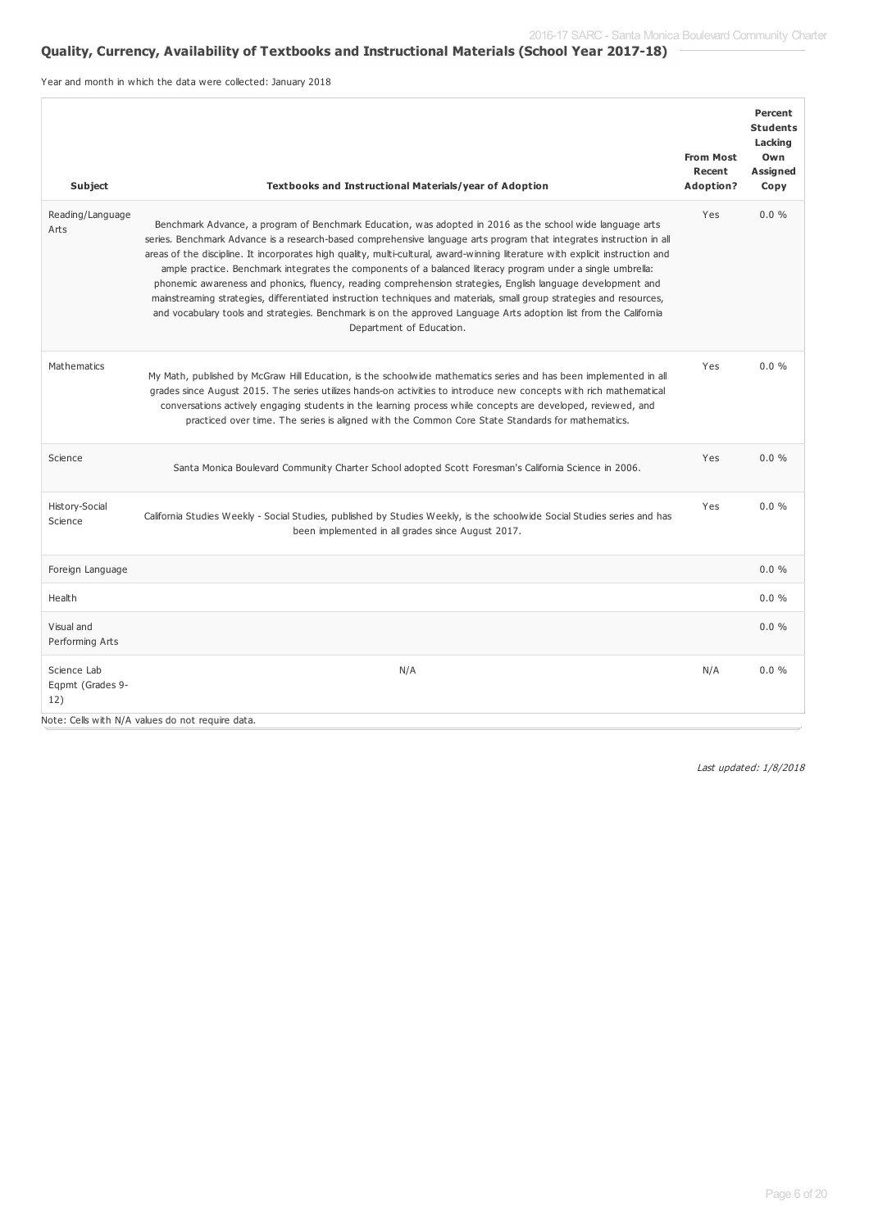## **Quality, Currency, Availability of Textbooks and Instructional Materials (School Year 2017-18)**

Year and month in which the data were collected: January 2018

| Subject                                | Textbooks and Instructional Materials/year of Adoption                                                                                                                                                                                                                                                                                                                                                                                                                                                                                                                                                                                                                                                                                                                                                                                                                    | <b>From Most</b><br>Recent<br>Adoption? | Percent<br><b>Students</b><br>Lacking<br>Own<br>Assigned<br>Copy |
|----------------------------------------|---------------------------------------------------------------------------------------------------------------------------------------------------------------------------------------------------------------------------------------------------------------------------------------------------------------------------------------------------------------------------------------------------------------------------------------------------------------------------------------------------------------------------------------------------------------------------------------------------------------------------------------------------------------------------------------------------------------------------------------------------------------------------------------------------------------------------------------------------------------------------|-----------------------------------------|------------------------------------------------------------------|
| Reading/Language<br>Arts               | Benchmark Advance, a program of Benchmark Education, was adopted in 2016 as the school wide language arts<br>series. Benchmark Advance is a research-based comprehensive language arts program that integrates instruction in all<br>areas of the discipline. It incorporates high quality, multi-cultural, award-winning literature with explicit instruction and<br>ample practice. Benchmark integrates the components of a balanced literacy program under a single umbrella:<br>phonemic awareness and phonics, fluency, reading comprehension strategies, English language development and<br>mainstreaming strategies, differentiated instruction techniques and materials, small group strategies and resources,<br>and vocabulary tools and strategies. Benchmark is on the approved Language Arts adoption list from the California<br>Department of Education. | Yes                                     | 0.0%                                                             |
| Mathematics                            | My Math, published by McGraw Hill Education, is the schoolwide mathematics series and has been implemented in all<br>grades since August 2015. The series utilizes hands-on activities to introduce new concepts with rich mathematical<br>conversations actively engaging students in the learning process while concepts are developed, reviewed, and<br>practiced over time. The series is aligned with the Common Core State Standards for mathematics.                                                                                                                                                                                                                                                                                                                                                                                                               | Yes                                     | $0.0\%$                                                          |
| Science                                | Santa Monica Boulevard Community Charter School adopted Scott Foresman's California Science in 2006.                                                                                                                                                                                                                                                                                                                                                                                                                                                                                                                                                                                                                                                                                                                                                                      | Yes                                     | $0.0\%$                                                          |
| History-Social<br>Science              | California Studies Weekly - Social Studies, published by Studies Weekly, is the schoolwide Social Studies series and has<br>been implemented in all grades since August 2017.                                                                                                                                                                                                                                                                                                                                                                                                                                                                                                                                                                                                                                                                                             | Yes                                     | $0.0\%$                                                          |
| Foreign Language                       |                                                                                                                                                                                                                                                                                                                                                                                                                                                                                                                                                                                                                                                                                                                                                                                                                                                                           |                                         | 0.0%                                                             |
| Health                                 |                                                                                                                                                                                                                                                                                                                                                                                                                                                                                                                                                                                                                                                                                                                                                                                                                                                                           |                                         | 0.0%                                                             |
| Visual and<br>Performing Arts          |                                                                                                                                                                                                                                                                                                                                                                                                                                                                                                                                                                                                                                                                                                                                                                                                                                                                           |                                         | 0.0%                                                             |
| Science Lab<br>Eqpmt (Grades 9-<br>12) | N/A<br>Note: Cells with N/A values do not require data.                                                                                                                                                                                                                                                                                                                                                                                                                                                                                                                                                                                                                                                                                                                                                                                                                   | N/A                                     | 0.0%                                                             |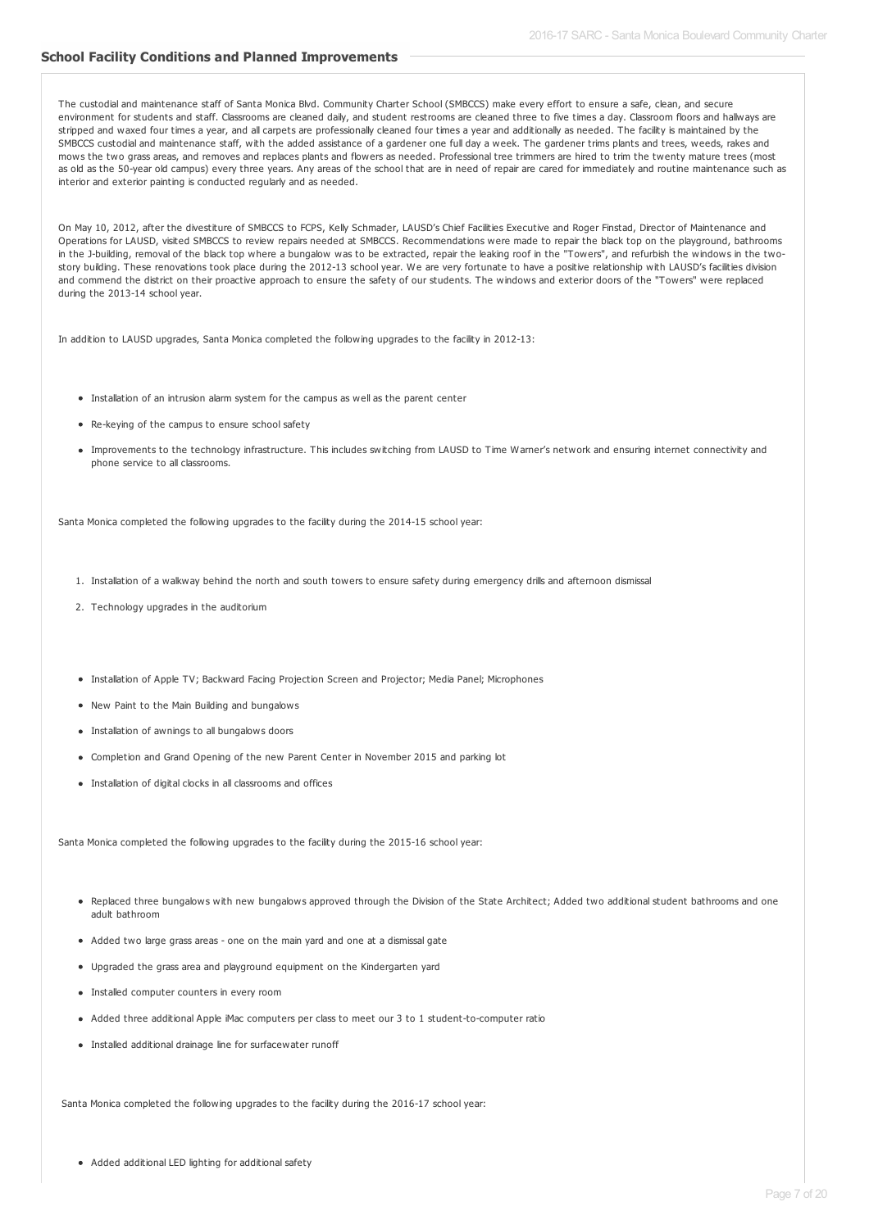#### **School Facility Conditions and Planned Improvements**

The custodial and maintenance staff of Santa Monica Blvd. Community Charter School (SMBCCS) make every effort to ensure a safe, clean, and secure environment for students and staff. Classrooms are cleaned daily, and student restrooms are cleaned three to five times a day. Classroom floors and hallways are stripped and waxed four times a year, and all carpets are professionally cleaned four times a year and additionally as needed. The facility is maintained by the SMBCCS custodial and maintenance staff, with the added assistance of a gardener one full day a week. The gardener trims plants and trees, weeds, rakes and mows the two grass areas, and removes and replaces plants and flowers as needed. Professional tree trimmers are hired to trim the twenty mature trees (most as old as the 50-year old campus) every three years. Any areas of the school that are in need of repair are cared for immediately and routine maintenance such as interior and exterior painting is conducted regularly and as needed.

On May 10, 2012, after the divestiture of SMBCCS to FCPS, Kelly Schmader, LAUSD's Chief Facilities Executive and Roger Finstad, Director of Maintenance and Operations for LAUSD, visited SMBCCS to review repairs needed at SMBCCS. Recommendations were made to repair the black top on the playground, bathrooms in the J-building, removal of the black top where a bungalow was to be extracted, repair the leaking roof in the "Towers", and refurbish the windows in the twostory building. These renovations took place during the 2012-13 school year. We are very fortunate to have a positive relationship with LAUSD's facilities division and commend the district on their proactive approach to ensure the safety of our students. The windows and exterior doors of the "Towers" were replaced during the 2013-14 school year.

In addition to LAUSD upgrades, Santa Monica completed the following upgrades to the facility in 2012-13:

- Installation of an intrusion alarm system for the campus as well as the parent center
- Re-keying of the campus to ensure school safety
- Improvements to the technology infrastructure. This includes switching from LAUSD to Time Warner's network and ensuring internet connectivity and phone service to all classrooms.

Santa Monica completed the following upgrades to the facility during the 2014-15 school year:

- 1. Installation of a walkway behind the north and south towers to ensure safety during emergency drills and afternoon dismissal
- 2. Technology upgrades in the auditorium
- Installation of Apple TV; Backward Facing Projection Screen and Projector; Media Panel; Microphones
- New Paint to the Main Building and bungalows
- Installation of awnings to all bungalows doors
- Completion and Grand Opening of the new Parent Center in November 2015 and parking lot
- Installation of digital clocks in all classrooms and offices

Santa Monica completed the following upgrades to the facility during the 2015-16 school year:

- . Replaced three bungalows with new bungalows approved through the Division of the State Architect; Added two additional student bathrooms and one adult bathroom
- Added two large grass areas one on the main yard and one at a dismissal gate
- Upgraded the grass area and playground equipment on the Kindergarten yard
- $\bullet$  Installed computer counters in every room
- Added three additional Apple iMac computers per class to meet our 3 to 1 student-to-computer ratio
- Installed additional drainage line for surfacewater runoff

Santa Monica completed the following upgrades to the facility during the 2016-17 school year:

Added additional LED lighting for additional safety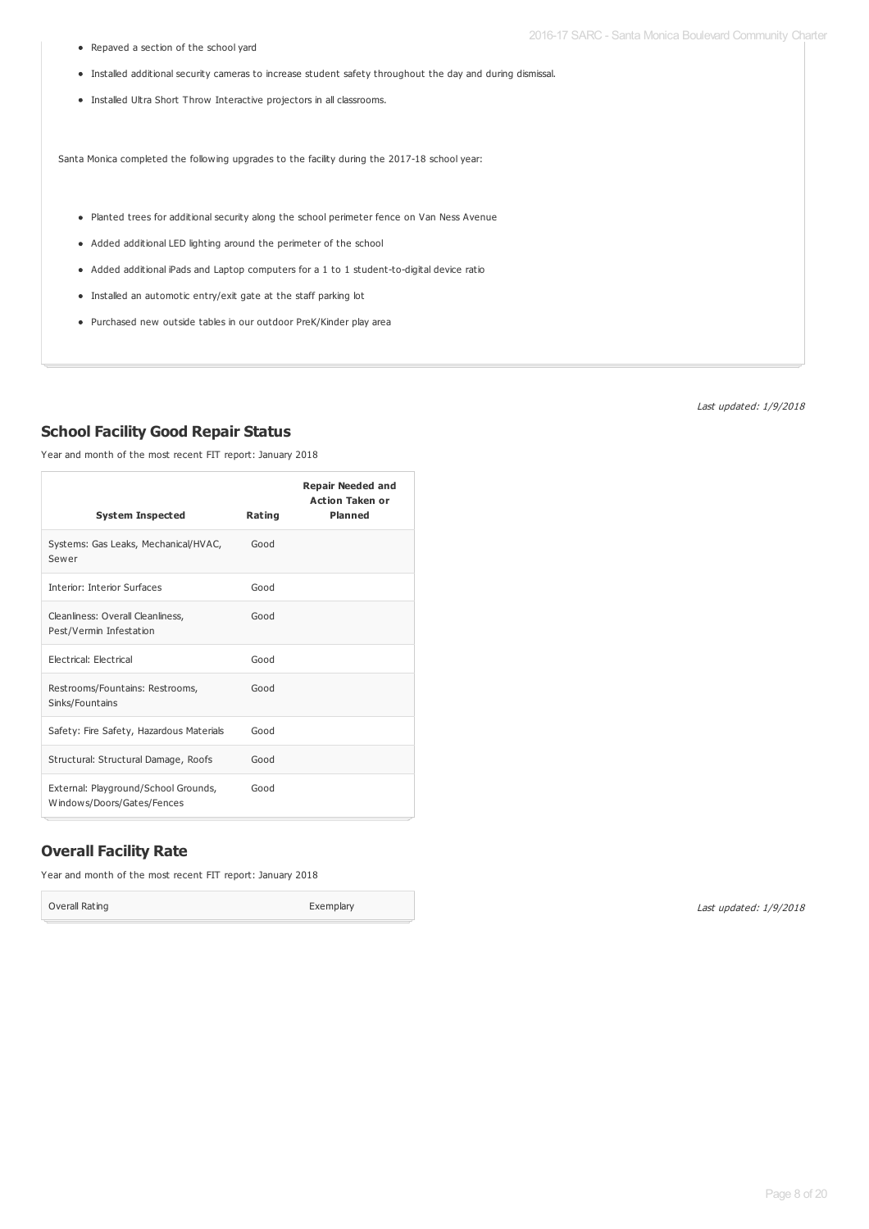Repaved a section of the school yard

- Installed additional security cameras to increase student safety throughout the day and during dismissal.
- Installed Ultra Short Throw Interactive projectors in all classrooms.

Santa Monica completed the following upgrades to the facility during the 2017-18 school year:

- Planted trees for additional security along the school perimeter fence on Van Ness Avenue
- Added additional LED lighting around the perimeter of the school
- Added additional iPads and Laptop computers for a 1 to 1 student-to-digital device ratio
- Installed an automotic entry/exit gate at the staff parking lot
- Purchased new outside tables in our outdoor PreK/Kinder play area

Last updated: 1/9/2018

#### **School Facility Good Repair Status**

Year and month of the most recent FIT report: January 2018

| <b>System Inspected</b>                                            | Rating | <b>Repair Needed and</b><br><b>Action Taken or</b><br><b>Planned</b> |
|--------------------------------------------------------------------|--------|----------------------------------------------------------------------|
| Systems: Gas Leaks, Mechanical/HVAC,<br>Sewer                      | Good   |                                                                      |
| <b>Interior: Interior Surfaces</b>                                 | Good   |                                                                      |
| Cleanliness: Overall Cleanliness,<br>Pest/Vermin Infestation       | Good   |                                                                      |
| Electrical: Electrical                                             | Good   |                                                                      |
| Restrooms/Fountains: Restrooms,<br>Sinks/Fountains                 | Good   |                                                                      |
| Safety: Fire Safety, Hazardous Materials                           | Good   |                                                                      |
| Structural: Structural Damage, Roofs                               | Good   |                                                                      |
| External: Playground/School Grounds,<br>Windows/Doors/Gates/Fences | Good   |                                                                      |

### **Overall Facility Rate**

Year and month of the most recent FIT report: January 2018

Overall Rating **Exemplary**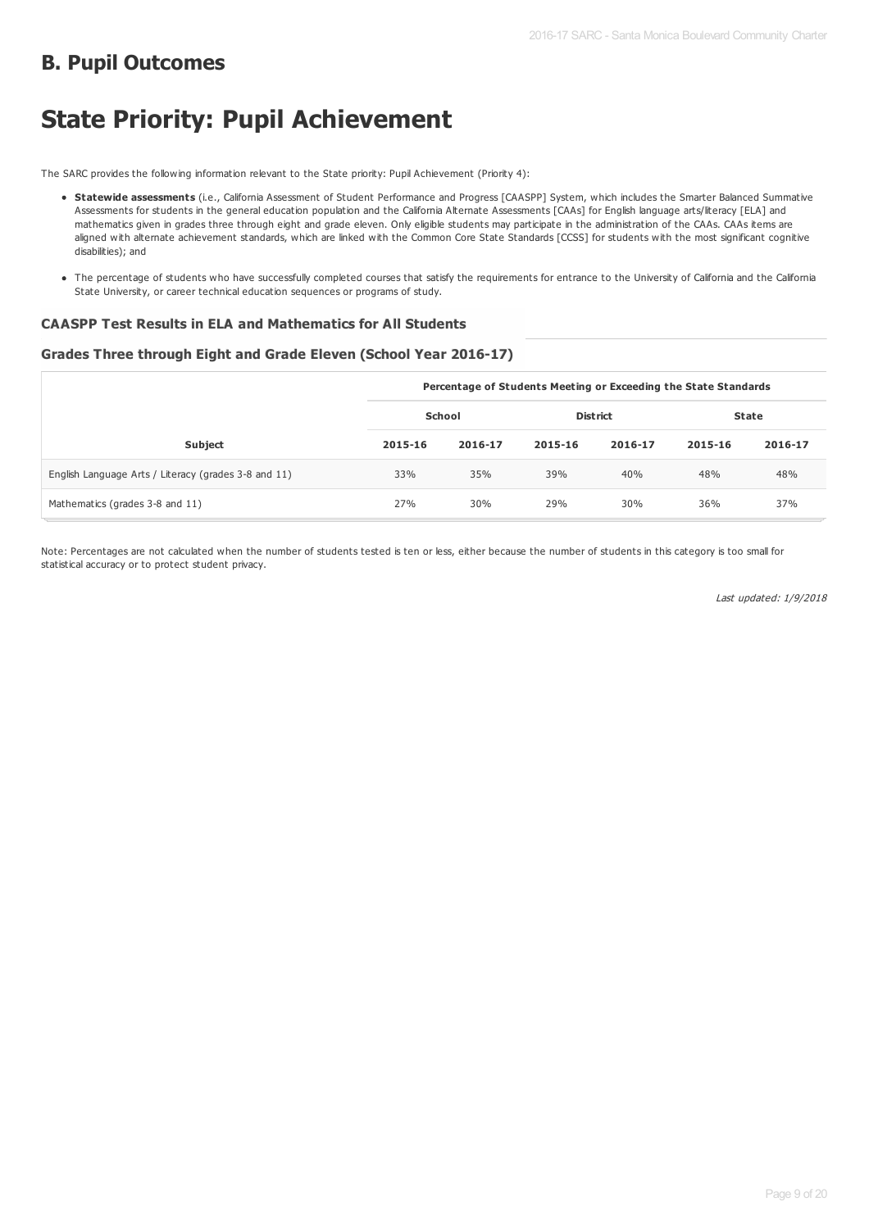# **B. Pupil Outcomes**

# **State Priority: Pupil Achievement**

The SARC provides the following information relevant to the State priority: Pupil Achievement (Priority 4):

- **Statewide assessments** (i.e., California Assessment of Student Performance and Progress [CAASPP] System, which includes the Smarter Balanced Summative Assessments for students in the general education population and the California Alternate Assessments [CAAs] for English language arts/literacy [ELA] and mathematics given in grades three through eight and grade eleven. Only eligible students may participate in the administration of the CAAs. CAAs items are aligned with alternate achievement standards, which are linked with the Common Core State Standards [CCSS] for students with the most significant cognitive disabilities); and
- The percentage of students who have successfully completed courses that satisfy the requirements for entrance to the University of California and the California State University, or career technical education sequences or programs of study.

#### **CAASPP Test Results in ELA and Mathematics for All Students**

#### **Grades Three through Eight and Grade Eleven (School Year 2016-17)**

|                                                      | Percentage of Students Meeting or Exceeding the State Standards |         |                 |         |              |         |  |
|------------------------------------------------------|-----------------------------------------------------------------|---------|-----------------|---------|--------------|---------|--|
|                                                      | School                                                          |         | <b>District</b> |         | <b>State</b> |         |  |
| <b>Subject</b>                                       | 2015-16                                                         | 2016-17 | 2015-16         | 2016-17 | 2015-16      | 2016-17 |  |
| English Language Arts / Literacy (grades 3-8 and 11) | 33%                                                             | 35%     | 39%             | 40%     | 48%          | 48%     |  |
| Mathematics (grades 3-8 and 11)                      | 27%                                                             | 30%     | 29%             | 30%     | 36%          | 37%     |  |

Note: Percentages are not calculated when the number of students tested is ten or less, either because the number of students in this category is too small for statistical accuracy or to protect student privacy.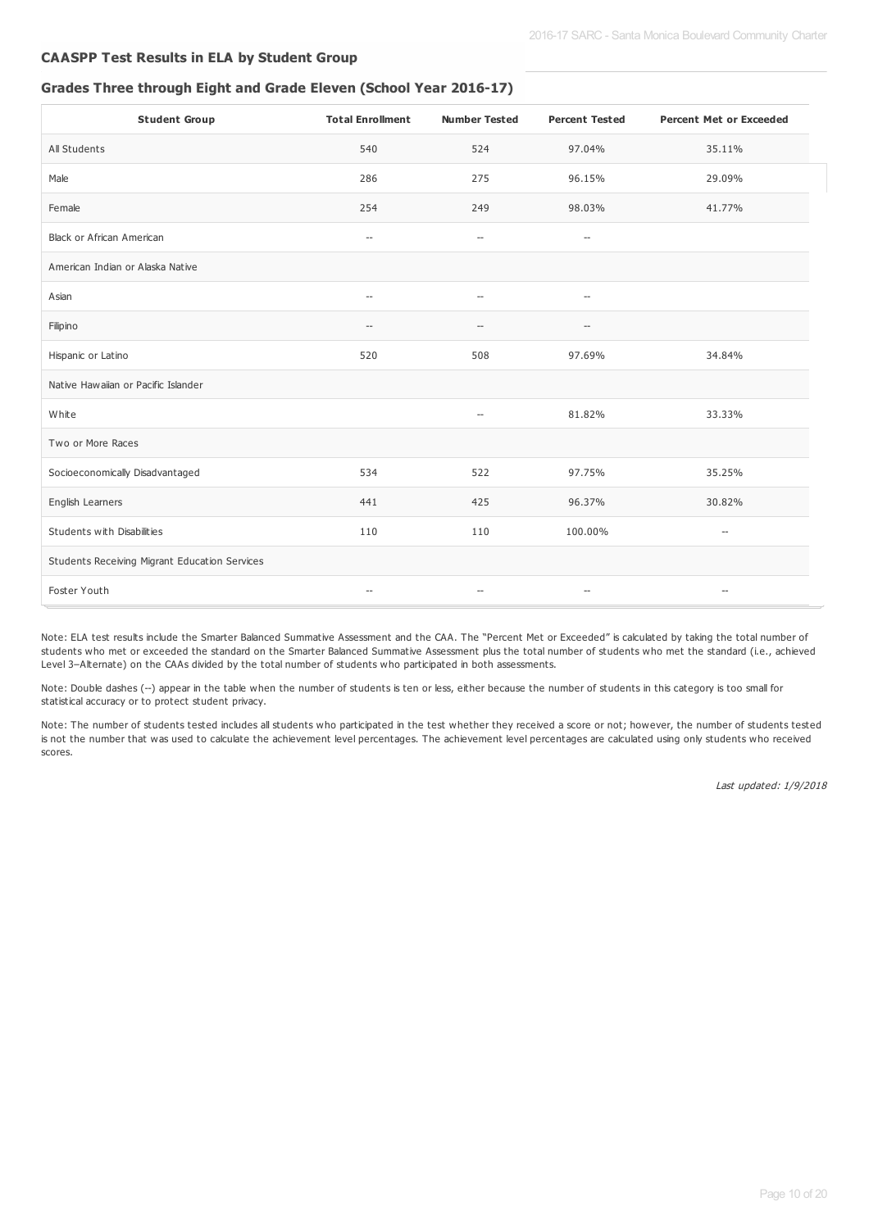#### **CAASPP Test Results in ELA by Student Group**

#### **Grades Three through Eight and Grade Eleven (School Year 2016-17)**

| <b>Student Group</b>                          | <b>Total Enrollment</b>                             | <b>Number Tested</b>                                | <b>Percent Tested</b>                               | <b>Percent Met or Exceeded</b> |
|-----------------------------------------------|-----------------------------------------------------|-----------------------------------------------------|-----------------------------------------------------|--------------------------------|
| All Students                                  | 540                                                 | 524                                                 | 97.04%                                              | 35.11%                         |
| Male                                          | 286                                                 | 275                                                 | 96.15%                                              | 29.09%                         |
| Female                                        | 254                                                 | 249                                                 | 98.03%                                              | 41.77%                         |
| Black or African American                     | $\hspace{0.05cm} -\hspace{0.05cm} -\hspace{0.05cm}$ | $\hspace{0.05cm} -\hspace{0.05cm} -\hspace{0.05cm}$ | $\hspace{0.05cm} -\hspace{0.05cm} -\hspace{0.05cm}$ |                                |
| American Indian or Alaska Native              |                                                     |                                                     |                                                     |                                |
| Asian                                         | $\overline{\phantom{a}}$                            | $\overline{\phantom{a}}$                            | $\overline{\phantom{a}}$                            |                                |
| Filipino                                      | $-$                                                 | $\overline{\phantom{a}}$                            | $\overline{\phantom{a}}$                            |                                |
| Hispanic or Latino                            | 520                                                 | 508                                                 | 97.69%                                              | 34.84%                         |
| Native Hawaiian or Pacific Islander           |                                                     |                                                     |                                                     |                                |
| White                                         |                                                     | $\hspace{0.05cm} -\hspace{0.05cm} -\hspace{0.05cm}$ | 81.82%                                              | 33.33%                         |
| Two or More Races                             |                                                     |                                                     |                                                     |                                |
| Socioeconomically Disadvantaged               | 534                                                 | 522                                                 | 97.75%                                              | 35.25%                         |
| English Learners                              | 441                                                 | 425                                                 | 96.37%                                              | 30.82%                         |
| Students with Disabilities                    | 110                                                 | 110                                                 | 100.00%                                             | $-\!$                          |
| Students Receiving Migrant Education Services |                                                     |                                                     |                                                     |                                |
| Foster Youth                                  | $\hspace{0.05cm} -\hspace{0.05cm} -\hspace{0.05cm}$ | $\hspace{0.05cm} -\hspace{0.05cm} -\hspace{0.05cm}$ | $\hspace{0.05cm} -\hspace{0.05cm} -\hspace{0.05cm}$ | $-\!$                          |

Note: ELA test results include the Smarter Balanced Summative Assessment and the CAA. The "Percent Met or Exceeded" is calculated by taking the total number of students who met or exceeded the standard on the Smarter Balanced Summative Assessment plus the total number of students who met the standard (i.e., achieved Level 3–Alternate) on the CAAs divided by the total number of students who participated in both assessments.

Note: Double dashes (--) appear in the table when the number of students is ten or less, either because the number of students in this category is too small for statistical accuracy or to protect student privacy.

Note: The number of students tested includes all students who participated in the test whether they received a score or not; however, the number of students tested is not the number that was used to calculate the achievement level percentages. The achievement level percentages are calculated using only students who received scores.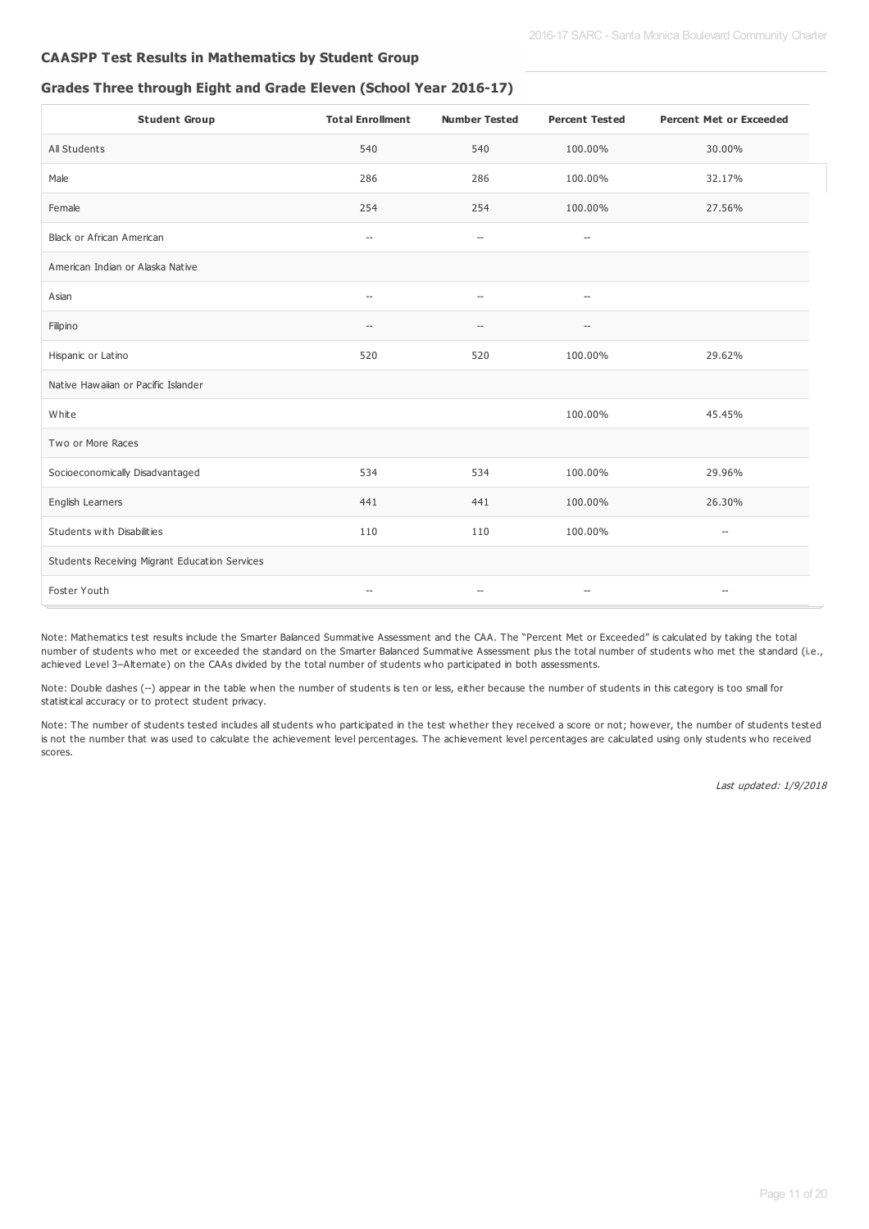### **CAASPP Test Results in Mathematics by Student Group**

#### **Grades Three through Eight and Grade Eleven (School Year 2016-17)**

| <b>Student Group</b>                          | <b>Total Enrollment</b>                             | <b>Number Tested</b>                                | <b>Percent Tested</b>                               | <b>Percent Met or Exceeded</b>     |
|-----------------------------------------------|-----------------------------------------------------|-----------------------------------------------------|-----------------------------------------------------|------------------------------------|
| All Students                                  | 540                                                 | 540                                                 | 100.00%                                             | 30.00%                             |
| Male                                          | 286                                                 | 286                                                 | 100.00%                                             | 32.17%                             |
| Female                                        | 254                                                 | 254                                                 | 100.00%                                             | 27.56%                             |
| Black or African American                     | $\hspace{0.05cm} -\hspace{0.05cm} -\hspace{0.05cm}$ | $\hspace{0.05cm} -\hspace{0.05cm} -\hspace{0.05cm}$ | $\hspace{0.05cm} -\hspace{0.05cm} -\hspace{0.05cm}$ |                                    |
| American Indian or Alaska Native              |                                                     |                                                     |                                                     |                                    |
| Asian                                         | $\overline{\phantom{a}}$                            | $\overline{\phantom{a}}$                            | $\overline{\phantom{a}}$                            |                                    |
| Filipino                                      | $\overline{\phantom{a}}$                            |                                                     | $\overline{\phantom{a}}$                            |                                    |
| Hispanic or Latino                            | 520                                                 | 520                                                 | 100.00%                                             | 29.62%                             |
| Native Hawaiian or Pacific Islander           |                                                     |                                                     |                                                     |                                    |
| White                                         |                                                     |                                                     | 100.00%                                             | 45.45%                             |
| Two or More Races                             |                                                     |                                                     |                                                     |                                    |
| Socioeconomically Disadvantaged               | 534                                                 | 534                                                 | 100.00%                                             | 29.96%                             |
| English Learners                              | 441                                                 | 441                                                 | 100.00%                                             | 26.30%                             |
| Students with Disabilities                    | 110                                                 | 110                                                 | 100.00%                                             | $\hspace{0.05cm} -\hspace{0.05cm}$ |
| Students Receiving Migrant Education Services |                                                     |                                                     |                                                     |                                    |
| Foster Youth                                  | $\hspace{0.05cm} -\hspace{0.05cm}$                  | $\hspace{0.05cm} -\hspace{0.05cm} -\hspace{0.05cm}$ | $-\!$                                               | $\hspace{0.05cm} -\hspace{0.05cm}$ |

Note: Mathematics test results include the Smarter Balanced Summative Assessment and the CAA. The "Percent Met or Exceeded" is calculated by taking the total number of students who met or exceeded the standard on the Smarter Balanced Summative Assessment plus the total number of students who met the standard (i.e., achieved Level 3–Alternate) on the CAAs divided by the total number of students who participated in both assessments.

Note: Double dashes (--) appear in the table when the number of students is ten or less, either because the number of students in this category is too small for statistical accuracy or to protect student privacy.

Note: The number of students tested includes all students who participated in the test whether they received a score or not; however, the number of students tested is not the number that was used to calculate the achievement level percentages. The achievement level percentages are calculated using only students who received scores.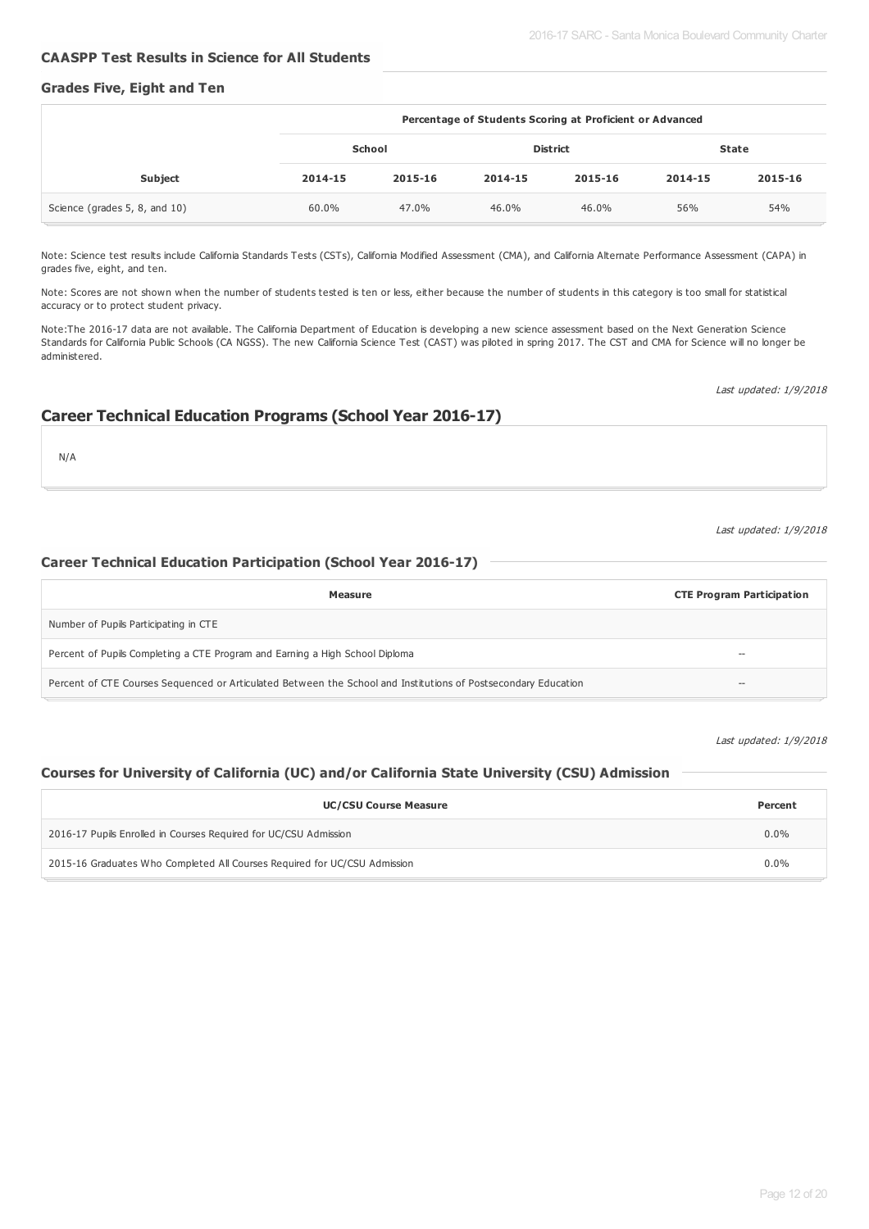#### **CAASPP Test Results in Science for All Students**

### **Grades Five, Eight and Ten**

|                               | Percentage of Students Scoring at Proficient or Advanced |         |         |                 |         |              |
|-------------------------------|----------------------------------------------------------|---------|---------|-----------------|---------|--------------|
|                               | School                                                   |         |         | <b>District</b> |         | <b>State</b> |
| <b>Subject</b>                | 2014-15                                                  | 2015-16 | 2014-15 | 2015-16         | 2014-15 | 2015-16      |
| Science (grades 5, 8, and 10) | 60.0%                                                    | 47.0%   | 46.0%   | 46.0%           | 56%     | 54%          |

Note: Science test results include California Standards Tests (CSTs), California Modified Assessment (CMA), and California Alternate Performance Assessment (CAPA) in grades five, eight, and ten.

Note: Scores are not shown when the number of students tested is ten or less, either because the number of students in this category is too small for statistical accuracy or to protect student privacy.

Note:The 2016-17 data are not available. The California Department of Education is developing a new science assessment based on the Next Generation Science Standards for California Public Schools (CA NGSS). The new California Science Test (CAST) was piloted in spring 2017. The CST and CMA for Science will no longer be administered.

Last updated: 1/9/2018

#### **Career Technical Education Programs (School Year 2016-17)**

N/A

#### Last updated: 1/9/2018

### **Career Technical Education Participation (School Year 2016-17)**

| Measure                                                                                                        | <b>CTE Program Participation</b> |
|----------------------------------------------------------------------------------------------------------------|----------------------------------|
| Number of Pupils Participating in CTE                                                                          |                                  |
| Percent of Pupils Completing a CTE Program and Earning a High School Diploma                                   | --                               |
| Percent of CTE Courses Sequenced or Articulated Between the School and Institutions of Postsecondary Education | $- -$                            |

Last updated: 1/9/2018

### **Courses for University of California (UC) and/or California State University (CSU) Admission**

| <b>UC/CSU Course Measure</b>                                              | Percent |
|---------------------------------------------------------------------------|---------|
| 2016-17 Pupils Enrolled in Courses Required for UC/CSU Admission          | $0.0\%$ |
| 2015-16 Graduates Who Completed All Courses Required for UC/CSU Admission | $0.0\%$ |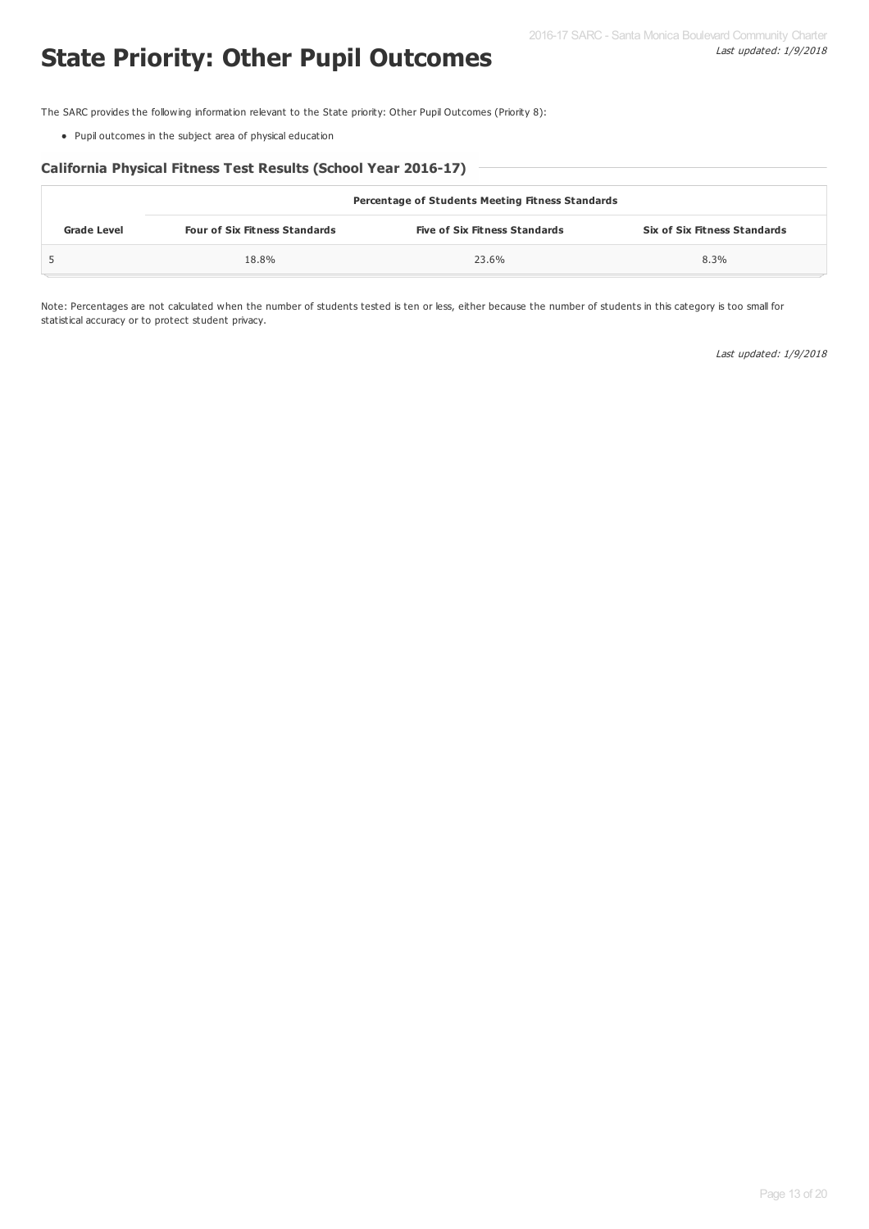# **State Priority: Other Pupil Outcomes**

The SARC provides the following information relevant to the State priority: Other Pupil Outcomes (Priority 8):

Pupil outcomes in the subject area of physical education

#### **California Physical Fitness Test Results (School Year 2016-17)**

|                    | <b>Percentage of Students Meeting Fitness Standards</b> |                                      |                              |  |  |  |  |
|--------------------|---------------------------------------------------------|--------------------------------------|------------------------------|--|--|--|--|
| <b>Grade Level</b> | <b>Four of Six Fitness Standards</b>                    | <b>Five of Six Fitness Standards</b> | Six of Six Fitness Standards |  |  |  |  |
|                    | 18.8%                                                   | 23.6%                                | 8.3%                         |  |  |  |  |

Note: Percentages are not calculated when the number of students tested is ten or less, either because the number of students in this category is too small for statistical accuracy or to protect student privacy.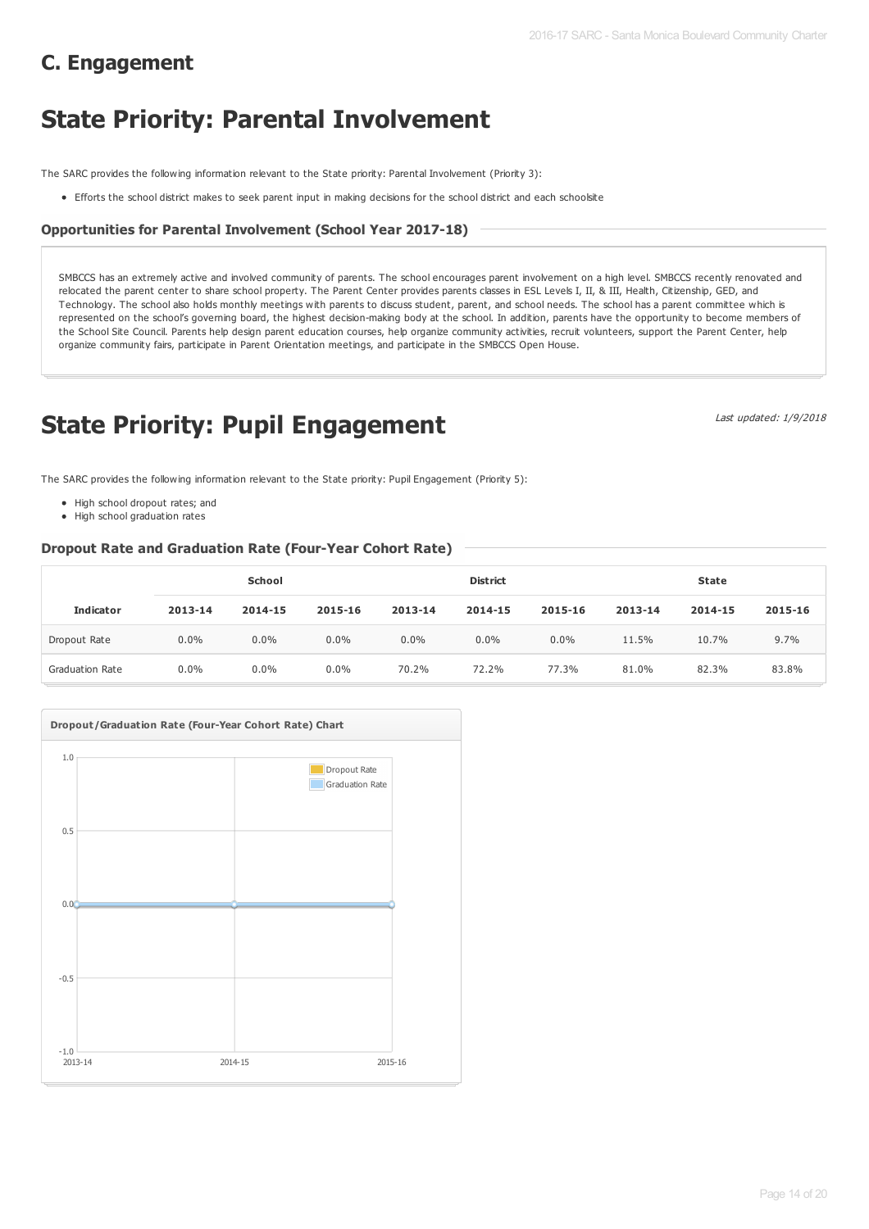# **State Priority: Parental Involvement**

The SARC provides the following information relevant to the State priority: Parental Involvement (Priority 3):

Efforts the school district makes to seek parent input in making decisions for the school district and each schoolsite

## **Opportunities for Parental Involvement (School Year 2017-18)**

SMBCCS has an extremely active and involved community of parents. The school encourages parent involvement on a high level. SMBCCS recently renovated and relocated the parent center to share school property. The Parent Center provides parents classes in ESL Levels I, II, & III, Health, Citizenship, GED, and Technology. The school also holds monthly meetings with parents to discuss student, parent, and school needs. The school has a parent committee which is represented on the school's governing board, the highest decision-making body at the school. In addition, parents have the opportunity to become members of the School Site Council. Parents help design parent education courses, help organize community activities, recruit volunteers, support the Parent Center, help organize community fairs, participate in Parent Orientation meetings, and participate in the SMBCCS Open House.

# **State Priority: Pupil Engagement**

Last updated: 1/9/2018

The SARC provides the following information relevant to the State priority: Pupil Engagement (Priority 5):

- High school dropout rates; and
- High school graduation rates

### **Dropout Rate and Graduation Rate (Four-Year Cohort Rate)**

|                        | School  |         |         |         | <b>District</b> |         | <b>State</b> |         |         |
|------------------------|---------|---------|---------|---------|-----------------|---------|--------------|---------|---------|
| <b>Indicator</b>       | 2013-14 | 2014-15 | 2015-16 | 2013-14 | 2014-15         | 2015-16 | 2013-14      | 2014-15 | 2015-16 |
| Dropout Rate           | $0.0\%$ | 0.0%    | 0.0%    | $0.0\%$ | $0.0\%$         | $0.0\%$ | 11.5%        | 10.7%   | 9.7%    |
| <b>Graduation Rate</b> | $0.0\%$ | 0.0%    | 0.0%    | 70.2%   | 72.2%           | 77.3%   | 81.0%        | 82.3%   | 83.8%   |

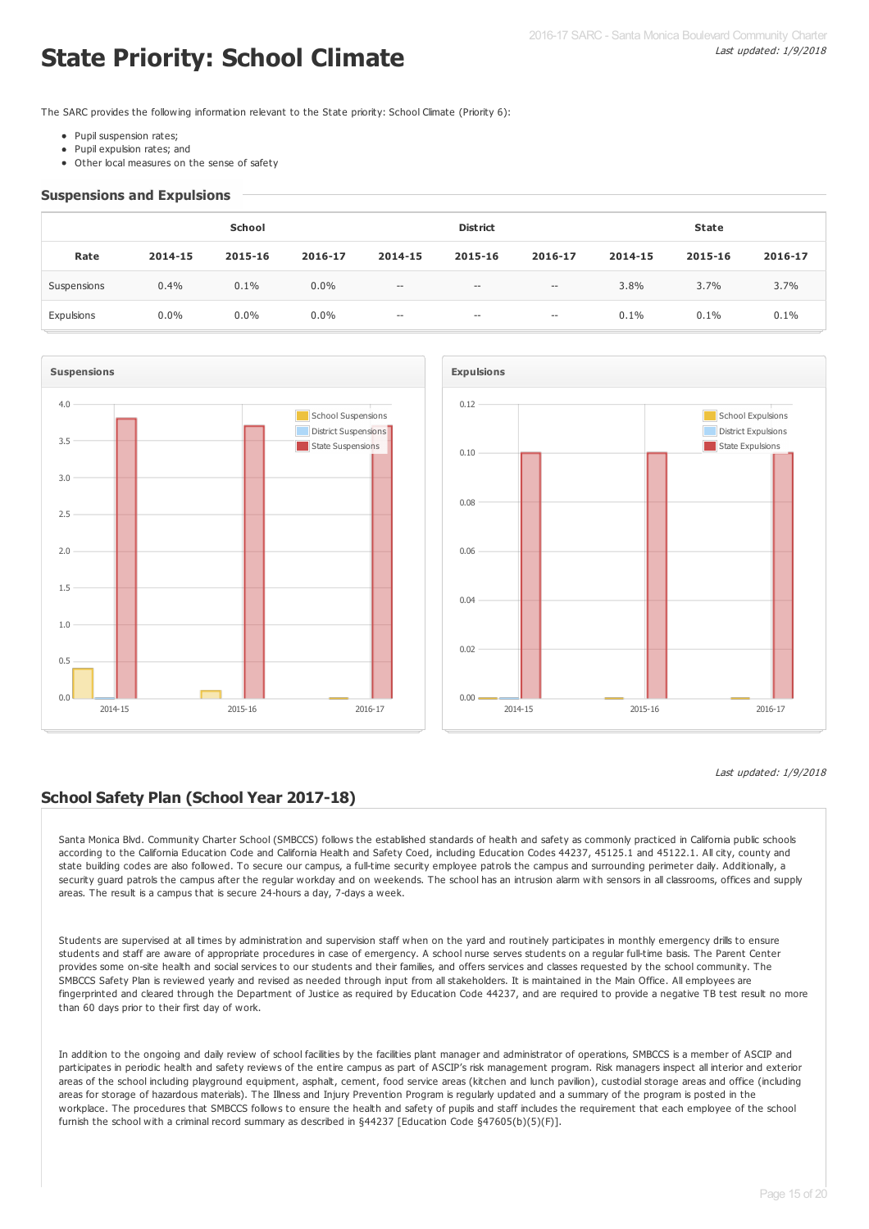# **State Priority: School Climate**

The SARC provides the following information relevant to the State priority: School Climate (Priority 6):

- Pupil suspension rates;
- Pupil expulsion rates; and
- Other local measures on the sense of safety

#### **Suspensions and Expulsions**

|             | School  |         |         |                                                     | <b>District</b>   |                   | <b>State</b> |         |         |
|-------------|---------|---------|---------|-----------------------------------------------------|-------------------|-------------------|--------------|---------|---------|
| Rate        | 2014-15 | 2015-16 | 2016-17 | 2014-15                                             | 2015-16           | 2016-17           | 2014-15      | 2015-16 | 2016-17 |
| Suspensions | 0.4%    | 0.1%    | $0.0\%$ | $\hspace{0.05cm} -\hspace{0.05cm} -\hspace{0.05cm}$ | $\hspace{0.05cm}$ | $\hspace{0.05cm}$ | 3.8%         | 3.7%    | 3.7%    |
| Expulsions  | $0.0\%$ | $0.0\%$ | $0.0\%$ | $\hspace{0.05cm} \cdots$                            | $\hspace{0.05cm}$ | $\hspace{0.05cm}$ | 0.1%         | 0.1%    | 0.1%    |





#### Last updated: 1/9/2018

### **School Safety Plan (School Year 2017-18)**

Santa Monica Blvd. Community Charter School (SMBCCS) follows the established standards of health and safety as commonly practiced in California public schools according to the California Education Code and California Health and Safety Coed, including Education Codes 44237, 45125.1 and 45122.1. All city, county and state building codes are also followed. To secure our campus, a full-time security employee patrols the campus and surrounding perimeter daily. Additionally, a security guard patrols the campus after the regular workday and on weekends. The school has an intrusion alarm with sensors in all classrooms, offices and supply areas. The result is a campus that is secure 24-hours a day, 7-days a week.

Students are supervised at all times by administration and supervision staff when on the yard and routinely participates in monthly emergency drills to ensure students and staff are aware of appropriate procedures in case of emergency. A school nurse serves students on a regular full-time basis. The Parent Center provides some on-site health and social services to our students and their families, and offers services and classes requested by the school community. The SMBCCS Safety Plan is reviewed yearly and revised as needed through input from all stakeholders. It is maintained in the Main Office. All emplovees are fingerprinted and cleared through the Department of Justice as required by Education Code 44237, and are required to provide a negative TB test result no more than 60 days prior to their first day of work.

In addition to the ongoing and daily review of school facilities by the facilities plant manager and administrator of operations, SMBCCS is a member of ASCIP and participates in periodic health and safety reviews of the entire campus as part of ASCIP's risk management program. Risk managers inspect all interior and exterior areas of the school including playground equipment, asphalt, cement, food service areas (kitchen and lunch pavilion), custodial storage areas and office (including areas for storage of hazardous materials). The Illness and Injury Prevention Program is regularly updated and a summary of the program is posted in the workplace. The procedures that SMBCCS follows to ensure the health and safety of pupils and staff includes the requirement that each employee of the school furnish the school with a criminal record summary as described in §44237 [Education Code §47605(b)(5)(F)].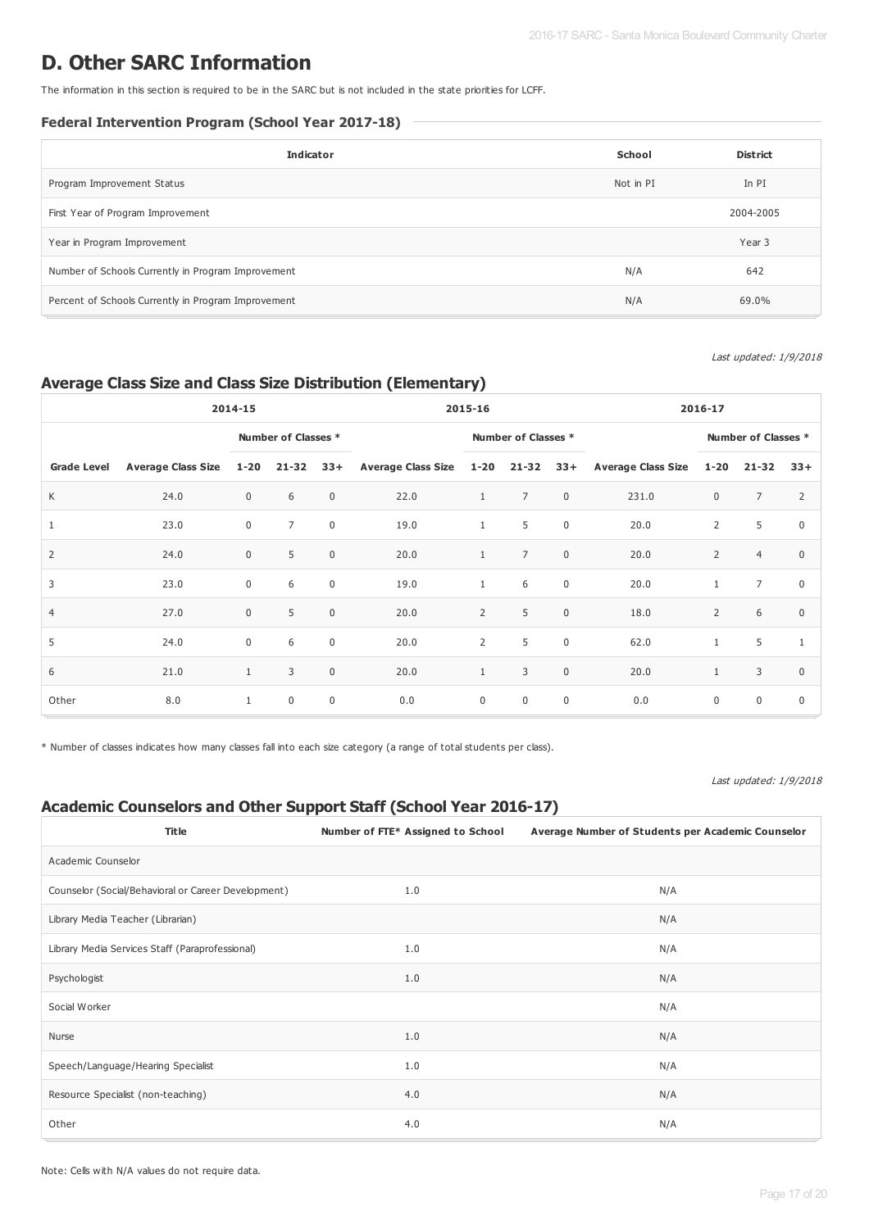# **D. Other SARC Information**

The information in this section is required to be in the SARC but is not included in the state priorities for LCFF.

#### **Federal Intervention Program (School Year 2017-18)**

| <b>Indicator</b>                                    | School    | <b>District</b> |
|-----------------------------------------------------|-----------|-----------------|
| Program Improvement Status                          | Not in PI | In PI           |
| First Year of Program Improvement                   |           | 2004-2005       |
| Year in Program Improvement                         |           | Year 3          |
| Number of Schools Currently in Program Improvement  | N/A       | 642             |
| Percent of Schools Currently in Program Improvement | N/A       | 69.0%           |

#### Last updated: 1/9/2018

### **Average Class Size and Class Size Distribution (Elementary)**

|                    | 2014-15                   |              |                     | 2015-16     |                               |                |                     | 2016-17     |                        |                |                     |              |
|--------------------|---------------------------|--------------|---------------------|-------------|-------------------------------|----------------|---------------------|-------------|------------------------|----------------|---------------------|--------------|
|                    |                           |              | Number of Classes * |             |                               |                | Number of Classes * |             |                        |                | Number of Classes * |              |
| <b>Grade Level</b> | <b>Average Class Size</b> | $1 - 20$     | $21 - 32$           | $33+$       | Average Class Size 1-20 21-32 |                |                     |             | 33+ Average Class Size | $1 - 20$       | $21 - 32$           | $33+$        |
| К                  | 24.0                      | $\mathbf 0$  | 6                   | $\mathbf 0$ | 22.0                          | $\mathbf{1}$   | $\overline{7}$      | $\mathbf 0$ | 231.0                  | $\mathbf 0$    | $\overline{7}$      | 2            |
| 1                  | 23.0                      | $\mathbf 0$  | $\overline{7}$      | $\mathbf 0$ | 19.0                          | $\mathbf{1}$   | 5                   | $\mathbf 0$ | 20.0                   | $\overline{2}$ | 5                   | $\mathbf 0$  |
| 2                  | 24.0                      | $\mathbf 0$  | 5                   | $\mathbf 0$ | 20.0                          | $\mathbf{1}$   | $\overline{7}$      | $\mathbf 0$ | 20.0                   | 2              | $\overline{4}$      | $\Omega$     |
| 3                  | 23.0                      | $\mathbf 0$  | 6                   | $\mathbf 0$ | 19.0                          | $\mathbf{1}$   | 6                   | $\mathbf 0$ | 20.0                   | $\mathbf{1}$   | $\overline{7}$      | $\mathbf 0$  |
| $\overline{4}$     | 27.0                      | $\mathbf 0$  | 5                   | $\mathbf 0$ | 20.0                          | $\overline{2}$ | 5                   | $\mathsf 0$ | 18.0                   | $\overline{2}$ | 6                   | $\mathbf 0$  |
| 5                  | 24.0                      | $\mathbf 0$  | 6                   | $\mathbf 0$ | 20.0                          | $\overline{2}$ | 5                   | $\mathbf 0$ | 62.0                   | $\mathbf{1}$   | 5                   | $\mathbf{1}$ |
| 6                  | 21.0                      | 1            | 3                   | $\mathbf 0$ | 20.0                          | $\mathbf{1}$   | 3                   | $\mathbf 0$ | 20.0                   | $\mathbf{1}$   | 3                   | $\mathbf 0$  |
| Other              | 8.0                       | $\mathbf{1}$ | $\mathbf 0$         | $\mathbf 0$ | 0.0                           | $\mathbf 0$    | $\mathbf 0$         | $\mathbf 0$ | 0.0                    | $\mathbf 0$    | $\mathbf 0$         | $\Omega$     |

\* Number of classes indicates how many classes fall into each size category (a range of total students per class).

#### Last updated: 1/9/2018

#### **Academic Counselors and Other Support Staff (School Year 2016-17)**

| <b>Title</b>                                        | Number of FTE* Assigned to School | Average Number of Students per Academic Counselor |
|-----------------------------------------------------|-----------------------------------|---------------------------------------------------|
| Academic Counselor                                  |                                   |                                                   |
| Counselor (Social/Behavioral or Career Development) | 1.0                               | N/A                                               |
| Library Media Teacher (Librarian)                   |                                   | N/A                                               |
| Library Media Services Staff (Paraprofessional)     | 1.0                               | N/A                                               |
| Psychologist                                        | 1.0                               | N/A                                               |
| Social Worker                                       |                                   | N/A                                               |
| Nurse                                               | 1.0                               | N/A                                               |
| Speech/Language/Hearing Specialist                  | 1.0                               | N/A                                               |
| Resource Specialist (non-teaching)                  | 4.0                               | N/A                                               |
| Other                                               | 4.0                               | N/A                                               |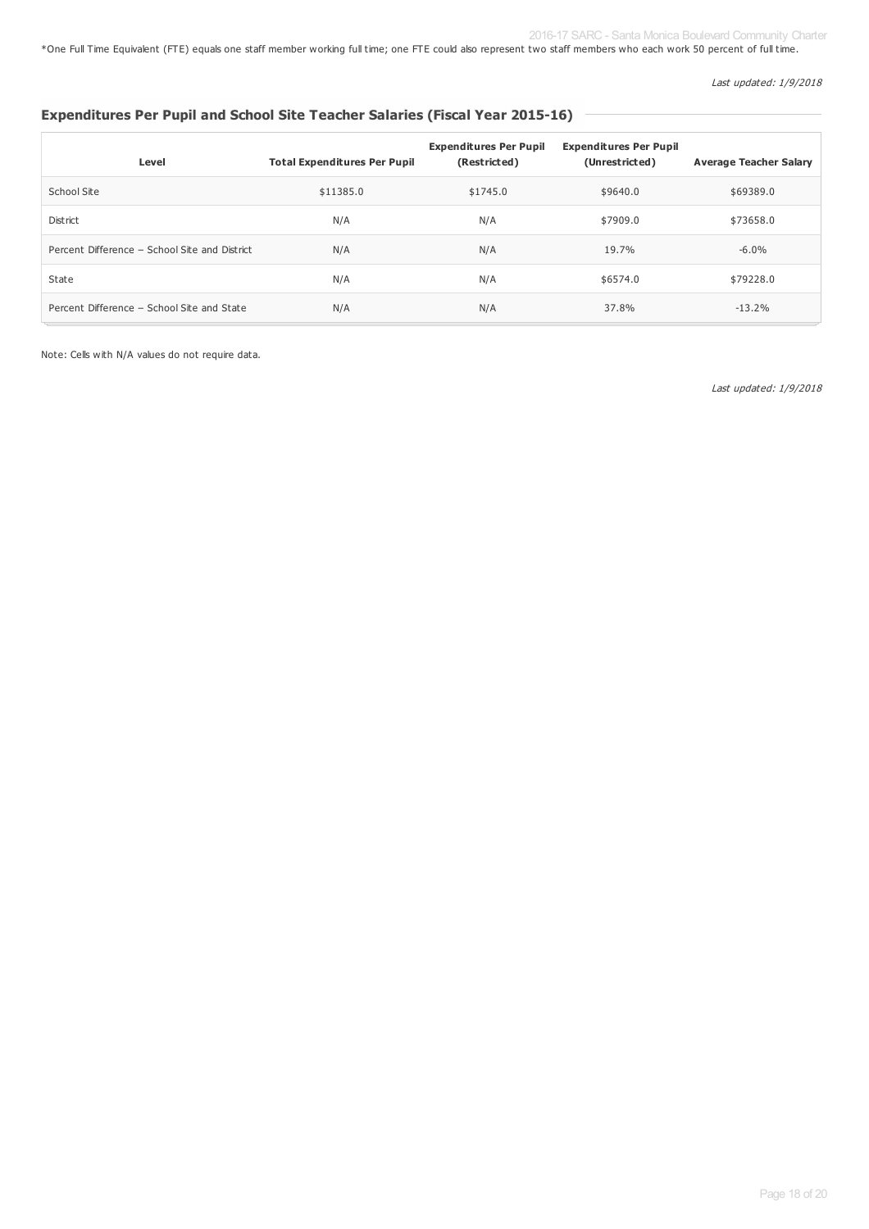\*One Full Time Equivalent (FTE) equals one staff member working full time; one FTE could also represent two staff members who each work 50 percent of full time.

Last updated: 1/9/2018

## **Expenditures Per Pupil and School Site Teacher Salaries (Fiscal Year 2015-16)**

| Level                                         | <b>Total Expenditures Per Pupil</b> | <b>Expenditures Per Pupil</b><br>(Restricted) | <b>Expenditures Per Pupil</b><br>(Unrestricted) | <b>Average Teacher Salary</b> |
|-----------------------------------------------|-------------------------------------|-----------------------------------------------|-------------------------------------------------|-------------------------------|
| School Site                                   | \$11385.0                           | \$1745.0                                      | \$9640.0                                        | \$69389.0                     |
| District                                      | N/A                                 | N/A                                           | \$7909.0                                        | \$73658.0                     |
| Percent Difference - School Site and District | N/A                                 | N/A                                           | 19.7%                                           | $-6.0\%$                      |
| State                                         | N/A                                 | N/A                                           | \$6574.0                                        | \$79228.0                     |
| Percent Difference - School Site and State    | N/A                                 | N/A                                           | 37.8%                                           | $-13.2%$                      |

Note: Cells with N/A values do not require data.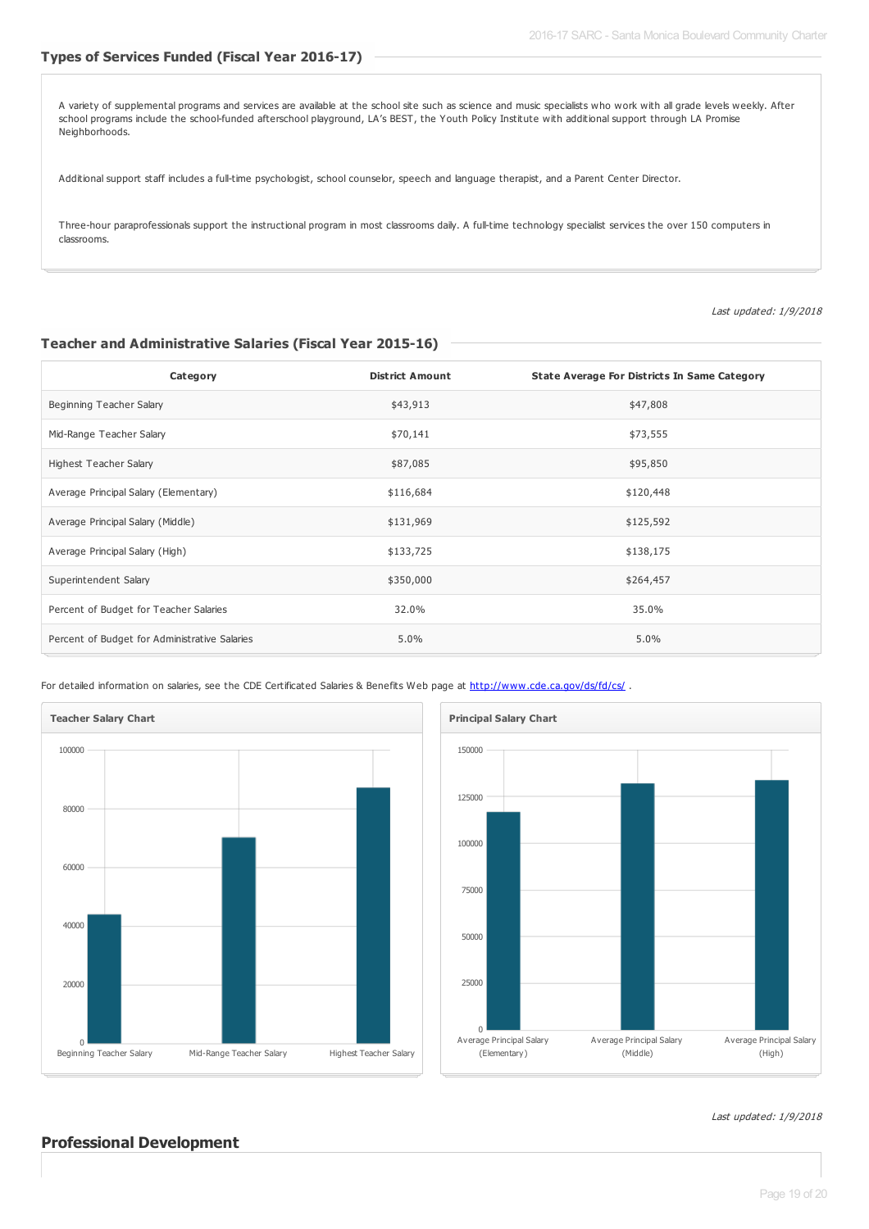#### **Types of Services Funded (Fiscal Year 2016-17)**

A variety of supplemental programs and services are available at the school site such as science and music specialists who work with all grade levels weekly. After school programs include the school-funded afterschool playground, LA's BEST, the Youth Policy Institute with additional support through LA Promise Neighborhoods.

Additional support staff includes a full-time psychologist, school counselor, speech and language therapist, and a Parent Center Director.

Three-hour paraprofessionals support the instructional program in most classrooms daily. A full-time technology specialist services the over 150 computers in classrooms.

Last updated: 1/9/2018

#### **Teacher and Administrative Salaries (Fiscal Year 2015-16)**

| Category                                      | <b>District Amount</b> | <b>State Average For Districts In Same Category</b> |
|-----------------------------------------------|------------------------|-----------------------------------------------------|
| Beginning Teacher Salary                      | \$43,913               | \$47,808                                            |
| Mid-Range Teacher Salary                      | \$70,141               | \$73,555                                            |
| Highest Teacher Salary                        | \$87,085               | \$95,850                                            |
| Average Principal Salary (Elementary)         | \$116,684              | \$120,448                                           |
| Average Principal Salary (Middle)             | \$131,969              | \$125,592                                           |
| Average Principal Salary (High)               | \$133,725              | \$138,175                                           |
| Superintendent Salary                         | \$350,000              | \$264,457                                           |
| Percent of Budget for Teacher Salaries        | 32.0%                  | 35.0%                                               |
| Percent of Budget for Administrative Salaries | 5.0%                   | 5.0%                                                |

For detailed information on salaries, see the CDE Certificated Salaries & Benefits Web page at <http://www.cde.ca.gov/ds/fd/cs/>.





Last updated: 1/9/2018

#### **Professional Development**